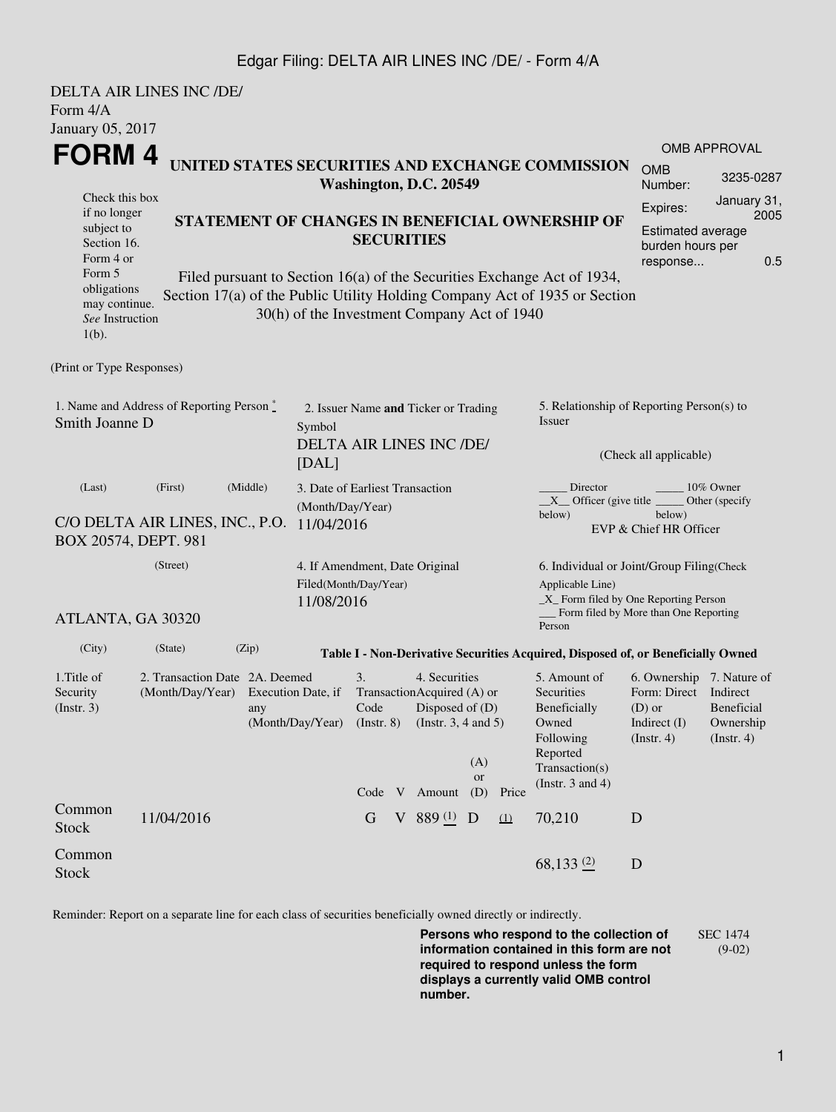## Edgar Filing: DELTA AIR LINES INC /DE/ - Form 4/A

|                                                                                                                                                   | <b>DELTA AIR LINES INC /DE/</b>                                                     |                                                                                                                                                                                                                                                                                                        |  |                                                                   |                                                                       |                                                                                                                  |                                                                               |                                                |                                                                                                                         |                                                                                                                                                              |                                        |  |  |
|---------------------------------------------------------------------------------------------------------------------------------------------------|-------------------------------------------------------------------------------------|--------------------------------------------------------------------------------------------------------------------------------------------------------------------------------------------------------------------------------------------------------------------------------------------------------|--|-------------------------------------------------------------------|-----------------------------------------------------------------------|------------------------------------------------------------------------------------------------------------------|-------------------------------------------------------------------------------|------------------------------------------------|-------------------------------------------------------------------------------------------------------------------------|--------------------------------------------------------------------------------------------------------------------------------------------------------------|----------------------------------------|--|--|
| Form 4/A                                                                                                                                          |                                                                                     |                                                                                                                                                                                                                                                                                                        |  |                                                                   |                                                                       |                                                                                                                  |                                                                               |                                                |                                                                                                                         |                                                                                                                                                              |                                        |  |  |
| January 05, 2017<br>FORM 4<br>UNITED STATES SECURITIES AND EXCHANGE COMMISSION                                                                    |                                                                                     |                                                                                                                                                                                                                                                                                                        |  |                                                                   |                                                                       |                                                                                                                  |                                                                               | <b>OMB APPROVAL</b><br><b>OMB</b><br>3235-0287 |                                                                                                                         |                                                                                                                                                              |                                        |  |  |
| Check this box<br>if no longer<br>subject to<br>Section 16.<br>Form 4 or<br>Form 5<br>obligations<br>may continue.<br>See Instruction<br>$1(b)$ . |                                                                                     | Washington, D.C. 20549<br>STATEMENT OF CHANGES IN BENEFICIAL OWNERSHIP OF<br><b>SECURITIES</b><br>Filed pursuant to Section 16(a) of the Securities Exchange Act of 1934,<br>Section 17(a) of the Public Utility Holding Company Act of 1935 or Section<br>30(h) of the Investment Company Act of 1940 |  |                                                                   |                                                                       |                                                                                                                  |                                                                               |                                                |                                                                                                                         | Number:<br>January 31,<br>Expires:<br>2005<br>Estimated average<br>burden hours per<br>0.5<br>response                                                       |                                        |  |  |
| (Print or Type Responses)                                                                                                                         |                                                                                     |                                                                                                                                                                                                                                                                                                        |  |                                                                   |                                                                       |                                                                                                                  |                                                                               |                                                |                                                                                                                         |                                                                                                                                                              |                                        |  |  |
| 1. Name and Address of Reporting Person $\degree$<br>Smith Joanne D                                                                               | 2. Issuer Name and Ticker or Trading<br>Symbol<br>DELTA AIR LINES INC /DE/<br>[DAL] |                                                                                                                                                                                                                                                                                                        |  |                                                                   |                                                                       |                                                                                                                  | 5. Relationship of Reporting Person(s) to<br>Issuer<br>(Check all applicable) |                                                |                                                                                                                         |                                                                                                                                                              |                                        |  |  |
| (Middle)<br>(Last)<br>(First)<br>C/O DELTA AIR LINES, INC., P.O.<br>BOX 20574, DEPT. 981                                                          |                                                                                     |                                                                                                                                                                                                                                                                                                        |  | 3. Date of Earliest Transaction<br>(Month/Day/Year)<br>11/04/2016 |                                                                       |                                                                                                                  |                                                                               |                                                | Director<br>10% Owner<br>$X$ Officer (give title $\_\_\_\$ Other (specify<br>below)<br>below)<br>EVP & Chief HR Officer |                                                                                                                                                              |                                        |  |  |
|                                                                                                                                                   | (Street)<br>ATLANTA, GA 30320                                                       |                                                                                                                                                                                                                                                                                                        |  |                                                                   | 4. If Amendment, Date Original<br>Filed(Month/Day/Year)<br>11/08/2016 |                                                                                                                  |                                                                               |                                                |                                                                                                                         | 6. Individual or Joint/Group Filing(Check<br>Applicable Line)<br>$\_X$ Form filed by One Reporting Person<br>Form filed by More than One Reporting<br>Person |                                        |  |  |
| (City)                                                                                                                                            | (State)                                                                             | (Zip)                                                                                                                                                                                                                                                                                                  |  |                                                                   |                                                                       |                                                                                                                  |                                                                               |                                                | Table I - Non-Derivative Securities Acquired, Disposed of, or Beneficially Owned                                        |                                                                                                                                                              |                                        |  |  |
| 1. Title of<br>2. Transaction Date 2A. Deemed<br>(Month/Day/Year) Execution Date, if<br>Security<br>(Insert. 3)<br>any                            |                                                                                     |                                                                                                                                                                                                                                                                                                        |  | 3.<br>Code<br>(Month/Day/Year) (Instr. 8)                         |                                                                       | 4. Securities<br>TransactionAcquired (A) or<br>Disposed of $(D)$<br>(Instr. $3, 4$ and $5$ )<br>(A)<br><b>or</b> |                                                                               |                                                | 5. Amount of<br>Securities<br>Beneficially<br>Owned<br>Following<br>Reported<br>Transaction(s)                          | 6. Ownership 7. Nature of<br>Form: Direct Indirect<br>$(D)$ or<br>Indirect $(I)$<br>(Instr. 4)                                                               | Beneficial<br>Ownership<br>(Insert. 4) |  |  |
| Common<br><b>Stock</b>                                                                                                                            | 11/04/2016                                                                          |                                                                                                                                                                                                                                                                                                        |  | G                                                                 |                                                                       | Code V Amount<br>V 889 $(1)$ D                                                                                   | (D)                                                                           | Price<br>(1)                                   | (Instr. $3$ and $4$ )<br>70,210                                                                                         | D                                                                                                                                                            |                                        |  |  |
| Common<br><b>Stock</b>                                                                                                                            |                                                                                     |                                                                                                                                                                                                                                                                                                        |  |                                                                   |                                                                       |                                                                                                                  |                                                                               |                                                | 68,133 $(2)$                                                                                                            | D                                                                                                                                                            |                                        |  |  |

Reminder: Report on a separate line for each class of securities beneficially owned directly or indirectly.

**Persons who respond to the collection of information contained in this form are not required to respond unless the form displays a currently valid OMB control number.** SEC 1474 (9-02)